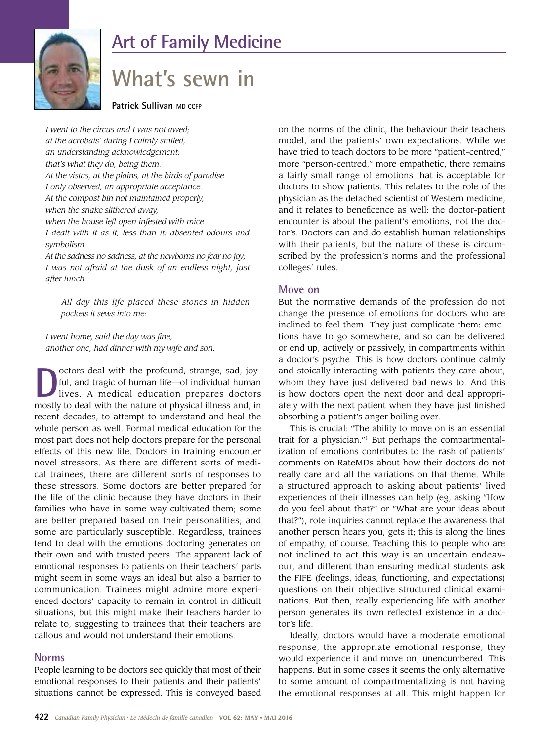

# **Art of Family Medicine**

# **What's sewn in**

**Patrick Sullivan MD CCFP** 

*I went to the circus and I was not awed; at the acrobats' daring I calmly smiled, an understanding acknowledgement: that's what they do, being them. At the vistas, at the plains, at the birds of paradise I only observed, an appropriate acceptance. At the compost bin not maintained properly, when the snake slithered away, when the house left open infested with mice I dealt with it as it, less than it: absented odours and symbolism.* 

*At the sadness no sadness, at the newborns no fear no joy; I was not afraid at the dusk of an endless night, just after lunch.* 

 *All day this life placed these stones in hidden pockets it sews into me:*

*I went home, said the day was fine, another one, had dinner with my wife and son.* 

**D**octors deal with the profound, strange, sad, joy-<br>ful, and tragic of human life—of individual human<br>lives. A medical education prepares doctors<br>mostly to doal with the pature of physical illness and in ful, and tragic of human life—of individual human mostly to deal with the nature of physical illness and, in recent decades, to attempt to understand and heal the whole person as well. Formal medical education for the most part does not help doctors prepare for the personal effects of this new life. Doctors in training encounter novel stressors. As there are different sorts of medical trainees, there are different sorts of responses to these stressors. Some doctors are better prepared for the life of the clinic because they have doctors in their families who have in some way cultivated them; some are better prepared based on their personalities; and some are particularly susceptible. Regardless, trainees tend to deal with the emotions doctoring generates on their own and with trusted peers. The apparent lack of emotional responses to patients on their teachers' parts might seem in some ways an ideal but also a barrier to communication. Trainees might admire more experienced doctors' capacity to remain in control in difficult situations, but this might make their teachers harder to relate to, suggesting to trainees that their teachers are callous and would not understand their emotions.

## **Norms**

People learning to be doctors see quickly that most of their emotional responses to their patients and their patients' situations cannot be expressed. This is conveyed based

on the norms of the clinic, the behaviour their teachers model, and the patients' own expectations. While we have tried to teach doctors to be more "patient-centred," more "person-centred," more empathetic, there remains a fairly small range of emotions that is acceptable for doctors to show patients. This relates to the role of the physician as the detached scientist of Western medicine, and it relates to beneficence as well: the doctor-patient encounter is about the patient's emotions, not the doctor's. Doctors can and do establish human relationships with their patients, but the nature of these is circumscribed by the profession's norms and the professional colleges' rules.

### **Move on**

But the normative demands of the profession do not change the presence of emotions for doctors who are inclined to feel them. They just complicate them: emotions have to go somewhere, and so can be delivered or end up, actively or passively, in compartments within a doctor's psyche. This is how doctors continue calmly and stoically interacting with patients they care about, whom they have just delivered bad news to. And this is how doctors open the next door and deal appropriately with the next patient when they have just finished absorbing a patient's anger boiling over.

This is crucial: "The ability to move on is an essential trait for a physician."1 But perhaps the compartmentalization of emotions contributes to the rash of patients' comments on RateMDs about how their doctors do not really care and all the variations on that theme. While a structured approach to asking about patients' lived experiences of their illnesses can help (eg, asking "How do you feel about that?" or "What are your ideas about that?"), rote inquiries cannot replace the awareness that another person hears you, gets it; this is along the lines of empathy, of course. Teaching this to people who are not inclined to act this way is an uncertain endeavour, and different than ensuring medical students ask the FIFE (feelings, ideas, functioning, and expectations) questions on their objective structured clinical examinations. But then, really experiencing life with another person generates its own reflected existence in a doctor's life.

Ideally, doctors would have a moderate emotional response, the appropriate emotional response; they would experience it and move on, unencumbered. This happens. But in some cases it seems the only alternative to some amount of compartmentalizing is not having the emotional responses at all. This might happen for